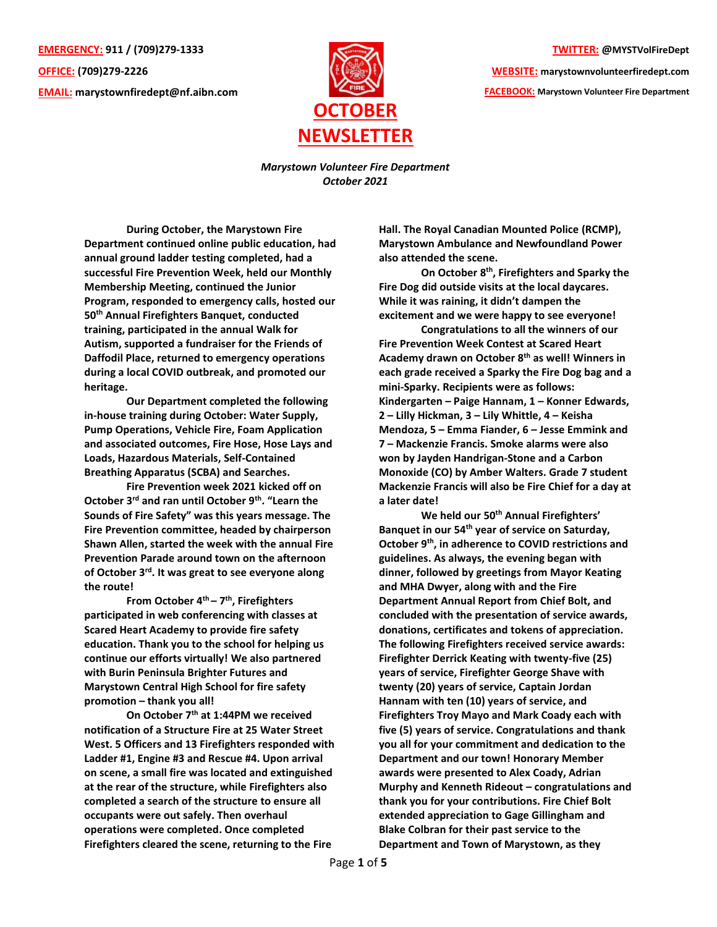**EMERGENCY: 911 / (709)279-1333 OFFICE: (709)279-2226 EMAIL: [marystownfiredept@nf.aibn.com](mailto:marystownfiredept@nf.aibn.com)**



**TWITTER: @MYSTVolFireDept**

**WEBSITE: marystownvolunteerfiredept.com FACEBOOK: Marystown Volunteer Fire Department**

*Marystown Volunteer Fire Department October 2021*

**During October, the Marystown Fire Department continued online public education, had annual ground ladder testing completed, had a successful Fire Prevention Week, held our Monthly Membership Meeting, continued the Junior Program, responded to emergency calls, hosted our 50th Annual Firefighters Banquet, conducted training, participated in the annual Walk for Autism, supported a fundraiser for the Friends of Daffodil Place, returned to emergency operations during a local COVID outbreak, and promoted our heritage.** 

**Our Department completed the following in-house training during October: Water Supply, Pump Operations, Vehicle Fire, Foam Application and associated outcomes, Fire Hose, Hose Lays and Loads, Hazardous Materials, Self-Contained Breathing Apparatus (SCBA) and Searches.** 

**Fire Prevention week 2021 kicked off on October 3rd and ran until October 9th. "Learn the Sounds of Fire Safety" was this years message. The Fire Prevention committee, headed by chairperson Shawn Allen, started the week with the annual Fire Prevention Parade around town on the afternoon of October 3rd. It was great to see everyone along the route!** 

**From October 4th – 7 th , Firefighters participated in web conferencing with classes at Scared Heart Academy to provide fire safety education. Thank you to the school for helping us continue our efforts virtually! We also partnered with Burin Peninsula Brighter Futures and Marystown Central High School for fire safety promotion – thank you all!**

**On October 7th at 1:44PM we received notification of a Structure Fire at 25 Water Street West. 5 Officers and 13 Firefighters responded with Ladder #1, Engine #3 and Rescue #4. Upon arrival on scene, a small fire was located and extinguished at the rear of the structure, while Firefighters also completed a search of the structure to ensure all occupants were out safely. Then overhaul operations were completed. Once completed Firefighters cleared the scene, returning to the Fire** 

**Hall. The Royal Canadian Mounted Police (RCMP), Marystown Ambulance and Newfoundland Power also attended the scene.** 

**On October 8th , Firefighters and Sparky the Fire Dog did outside visits at the local daycares. While it was raining, it didn't dampen the excitement and we were happy to see everyone!**

**Congratulations to all the winners of our Fire Prevention Week Contest at Scared Heart Academy drawn on October 8th as well! Winners in each grade received a Sparky the Fire Dog bag and a mini-Sparky. Recipients were as follows: Kindergarten – Paige Hannam, 1 – Konner Edwards, 2 – Lilly Hickman, 3 – Lily Whittle, 4 – Keisha Mendoza, 5 – Emma Fiander, 6 – Jesse Emmink and 7 – Mackenzie Francis. Smoke alarms were also won by Jayden Handrigan-Stone and a Carbon Monoxide (CO) by Amber Walters. Grade 7 student Mackenzie Francis will also be Fire Chief for a day at a later date!**

**We held our 50th Annual Firefighters' Banquet in our 54th year of service on Saturday, October 9th, in adherence to COVID restrictions and guidelines. As always, the evening began with dinner, followed by greetings from Mayor Keating and MHA Dwyer, along with and the Fire Department Annual Report from Chief Bolt, and concluded with the presentation of service awards, donations, certificates and tokens of appreciation. The following Firefighters received service awards: Firefighter Derrick Keating with twenty-five (25) years of service, Firefighter George Shave with twenty (20) years of service, Captain Jordan Hannam with ten (10) years of service, and Firefighters Troy Mayo and Mark Coady each with five (5) years of service. Congratulations and thank you all for your commitment and dedication to the Department and our town! Honorary Member awards were presented to Alex Coady, Adrian Murphy and Kenneth Rideout – congratulations and thank you for your contributions. Fire Chief Bolt extended appreciation to Gage Gillingham and Blake Colbran for their past service to the Department and Town of Marystown, as they**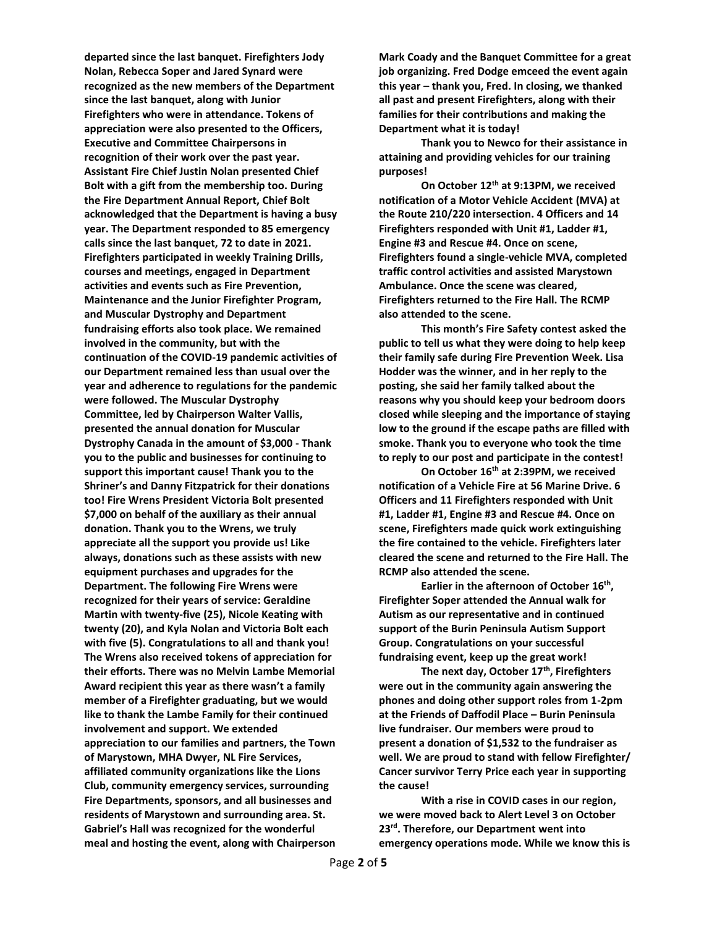**departed since the last banquet. Firefighters Jody Nolan, Rebecca Soper and Jared Synard were recognized as the new members of the Department since the last banquet, along with Junior Firefighters who were in attendance. Tokens of appreciation were also presented to the Officers, Executive and Committee Chairpersons in recognition of their work over the past year. Assistant Fire Chief Justin Nolan presented Chief Bolt with a gift from the membership too. During the Fire Department Annual Report, Chief Bolt acknowledged that the Department is having a busy year. The Department responded to 85 emergency calls since the last banquet, 72 to date in 2021. Firefighters participated in weekly Training Drills, courses and meetings, engaged in Department activities and events such as Fire Prevention, Maintenance and the Junior Firefighter Program, and Muscular Dystrophy and Department fundraising efforts also took place. We remained involved in the community, but with the continuation of the COVID-19 pandemic activities of our Department remained less than usual over the year and adherence to regulations for the pandemic were followed. The Muscular Dystrophy Committee, led by Chairperson Walter Vallis, presented the annual donation for Muscular Dystrophy Canada in the amount of \$3,000 - Thank you to the public and businesses for continuing to support this important cause! Thank you to the Shriner's and Danny Fitzpatrick for their donations too! Fire Wrens President Victoria Bolt presented \$7,000 on behalf of the auxiliary as their annual donation. Thank you to the Wrens, we truly appreciate all the support you provide us! Like always, donations such as these assists with new equipment purchases and upgrades for the Department. The following Fire Wrens were recognized for their years of service: Geraldine Martin with twenty-five (25), Nicole Keating with twenty (20), and Kyla Nolan and Victoria Bolt each with five (5). Congratulations to all and thank you! The Wrens also received tokens of appreciation for their efforts. There was no Melvin Lambe Memorial Award recipient this year as there wasn't a family member of a Firefighter graduating, but we would like to thank the Lambe Family for their continued involvement and support. We extended appreciation to our families and partners, the Town of Marystown, MHA Dwyer, NL Fire Services, affiliated community organizations like the Lions Club, community emergency services, surrounding Fire Departments, sponsors, and all businesses and residents of Marystown and surrounding area. St. Gabriel's Hall was recognized for the wonderful meal and hosting the event, along with Chairperson** 

**Mark Coady and the Banquet Committee for a great job organizing. Fred Dodge emceed the event again this year – thank you, Fred. In closing, we thanked all past and present Firefighters, along with their families for their contributions and making the Department what it is today!** 

**Thank you to Newco for their assistance in attaining and providing vehicles for our training purposes!**

**On October 12th at 9:13PM, we received notification of a Motor Vehicle Accident (MVA) at the Route 210/220 intersection. 4 Officers and 14 Firefighters responded with Unit #1, Ladder #1, Engine #3 and Rescue #4. Once on scene, Firefighters found a single-vehicle MVA, completed traffic control activities and assisted Marystown Ambulance. Once the scene was cleared, Firefighters returned to the Fire Hall. The RCMP also attended to the scene.** 

**This month's Fire Safety contest asked the public to tell us what they were doing to help keep their family safe during Fire Prevention Week. Lisa Hodder was the winner, and in her reply to the posting, she said her family talked about the reasons why you should keep your bedroom doors closed while sleeping and the importance of staying low to the ground if the escape paths are filled with smoke. Thank you to everyone who took the time to reply to our post and participate in the contest!**

**On October 16th at 2:39PM, we received notification of a Vehicle Fire at 56 Marine Drive. 6 Officers and 11 Firefighters responded with Unit #1, Ladder #1, Engine #3 and Rescue #4. Once on scene, Firefighters made quick work extinguishing the fire contained to the vehicle. Firefighters later cleared the scene and returned to the Fire Hall. The RCMP also attended the scene.** 

**Earlier in the afternoon of October 16th , Firefighter Soper attended the Annual walk for Autism as our representative and in continued support of the Burin Peninsula Autism Support Group. Congratulations on your successful fundraising event, keep up the great work!**

**The next day, October 17th, Firefighters were out in the community again answering the phones and doing other support roles from 1-2pm at the Friends of Daffodil Place – Burin Peninsula live fundraiser. Our members were proud to present a donation of \$1,532 to the fundraiser as well. We are proud to stand with fellow Firefighter/ Cancer survivor Terry Price each year in supporting the cause!** 

**With a rise in COVID cases in our region, we were moved back to Alert Level 3 on October 23rd . Therefore, our Department went into emergency operations mode. While we know this is**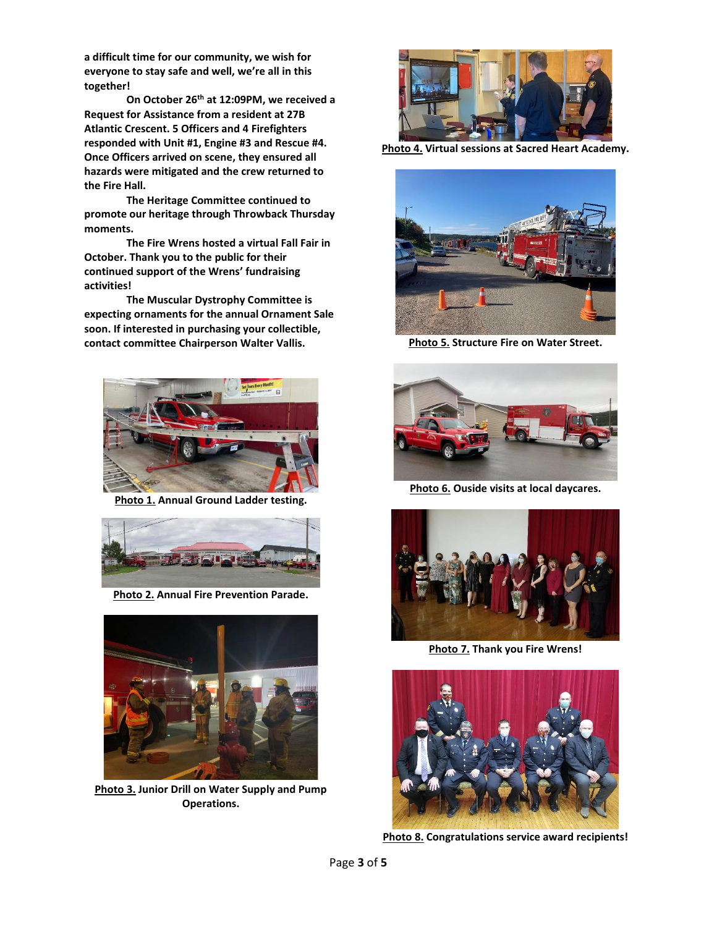**a difficult time for our community, we wish for everyone to stay safe and well, we're all in this together!**

**On October 26th at 12:09PM, we received a Request for Assistance from a resident at 27B Atlantic Crescent. 5 Officers and 4 Firefighters responded with Unit #1, Engine #3 and Rescue #4. Once Officers arrived on scene, they ensured all hazards were mitigated and the crew returned to the Fire Hall.** 

**The Heritage Committee continued to promote our heritage through Throwback Thursday moments.**

**The Fire Wrens hosted a virtual Fall Fair in October. Thank you to the public for their continued support of the Wrens' fundraising activities!** 

**The Muscular Dystrophy Committee is expecting ornaments for the annual Ornament Sale soon. If interested in purchasing your collectible, contact committee Chairperson Walter Vallis.**



**Photo 1. Annual Ground Ladder testing.**



**Photo 2. Annual Fire Prevention Parade.**



**Photo 3. Junior Drill on Water Supply and Pump Operations.**



**Photo 4. Virtual sessions at Sacred Heart Academy.**



**Photo 5. Structure Fire on Water Street.**



**Photo 6. Ouside visits at local daycares.**



**Photo 7. Thank you Fire Wrens!**



**Photo 8. Congratulations service award recipients!**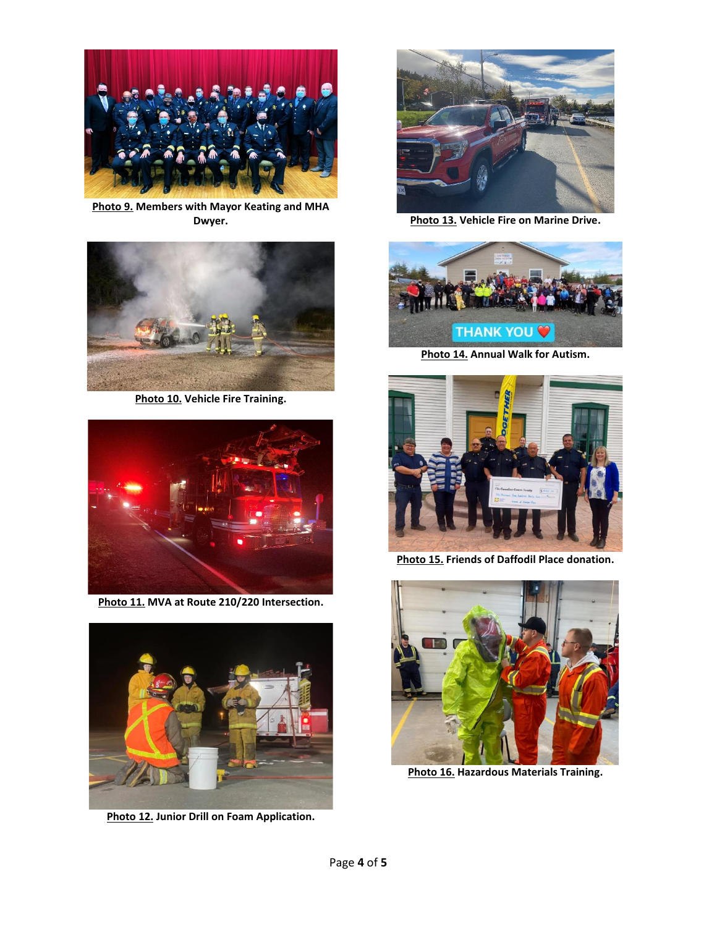

**Photo 9. Members with Mayor Keating and MHA Dwyer.**



**Photo 10. Vehicle Fire Training.**



**Photo 11. MVA at Route 210/220 Intersection.**



**Photo 12. Junior Drill on Foam Application.**



**Photo 13. Vehicle Fire on Marine Drive.**



**Photo 14. Annual Walk for Autism.**



**Photo 15. Friends of Daffodil Place donation.**



**Photo 16. Hazardous Materials Training.**